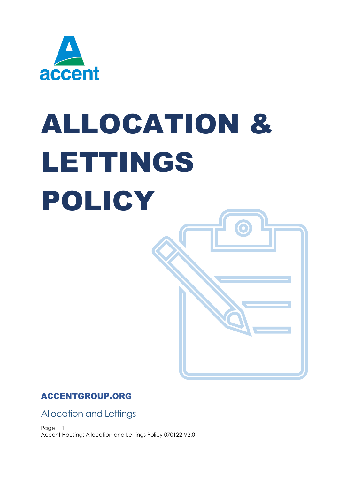

# ALLOCATION & LETTINGS POLICY

## ACCENTGROUP.ORG

Allocation and Lettings

Page | 1 Accent Housing: Allocation and Lettings Policy 070122 V2.0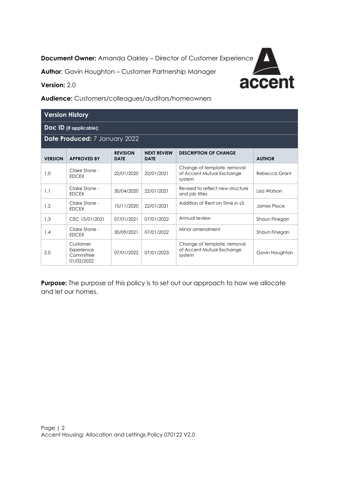**Document Owner:** Amanda Oakley – Director of Customer Experience

**Author**: Gavin Houghton – Customer Partnership Manager



**Version:** 2.0

**Audience:** Customers/colleagues/auditors/homeowners

| <b>Version History</b>        |                                                   |                                |                                   |                                                                    |                |  |
|-------------------------------|---------------------------------------------------|--------------------------------|-----------------------------------|--------------------------------------------------------------------|----------------|--|
| Doc ID (if applicable):       |                                                   |                                |                                   |                                                                    |                |  |
| Date Produced: 7 January 2022 |                                                   |                                |                                   |                                                                    |                |  |
| <b>VERSION</b>                | <b>APPROVED BY</b>                                | <b>REVISION</b><br><b>DATE</b> | <b>NEXT REVIEW</b><br><b>DATE</b> | <b>DESCRIPTION OF CHANGE</b>                                       | <b>AUTHOR</b>  |  |
| 1.0                           | Claire Stone -<br><b>EDCEX</b>                    | 22/01/2020                     | 22/01/2021                        | Change of template, removal<br>of Accent Mutual Exchange<br>system | Rebecca Grant  |  |
| 1.1                           | Claire Stone -<br><b>EDCEX</b>                    | 30/04/2020                     | 22/01/2021                        | Revised to reflect new structure<br>and job titles                 | Lisa Watson    |  |
| 1.2                           | Claire Stone -<br><b>EDCEX</b>                    | 10/11/2020                     | 22/01/2021                        | Addition of Rent on Time in s3.                                    | James Place    |  |
| 1.3                           | CEC 15/01/2021                                    | 07/01/2021                     | 07/01/2022                        | Annual review                                                      | Shaun Finegan  |  |
| 1.4                           | Claire Stone -<br><b>EDCEX</b>                    | 30/09/2021                     | 07/01/2022                        | Minor amendment                                                    | Shaun Finegan  |  |
| 2.0                           | Customer<br>Experience<br>Committee<br>01/02/2022 | 07/01/2022                     | 07/01/2023                        | Change of template, removal<br>of Accent Mutual Exchange<br>system | Gavin Houghton |  |

**Purpose:** The purpose of this policy is to set out our approach to how we allocate and let our homes.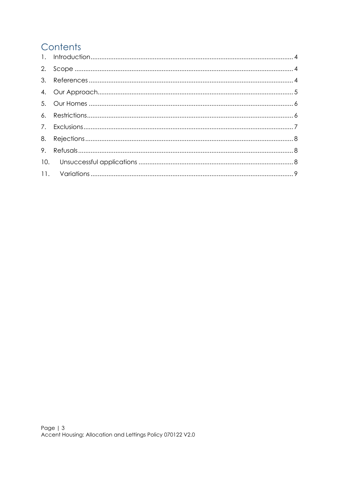## Contents

| 9. |  |
|----|--|
|    |  |
|    |  |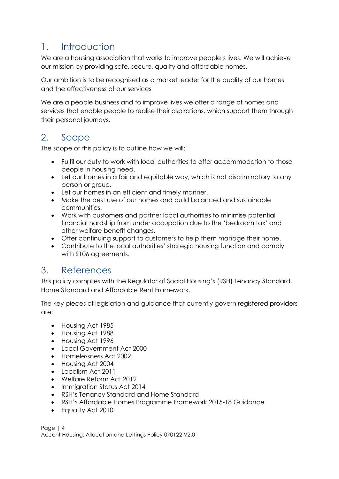## <span id="page-3-0"></span>1. Introduction

We are a housing association that works to improve people's lives. We will achieve our mission by providing safe, secure, quality and affordable homes.

Our ambition is to be recognised as a market leader for the quality of our homes and the effectiveness of our services

We are a people business and to improve lives we offer a range of homes and services that enable people to realise their aspirations, which support them through their personal journeys.

# <span id="page-3-1"></span>2. Scope

The scope of this policy is to outline how we will:

- Fulfil our duty to work with local authorities to offer accommodation to those people in housing need.
- Let our homes in a fair and equitable way, which is not discriminatory to any person or group.
- Let our homes in an efficient and timely manner.
- Make the best use of our homes and build balanced and sustainable communities.
- Work with customers and partner local authorities to minimise potential financial hardship from under occupation due to the 'bedroom tax' and other welfare benefit changes.
- Offer continuing support to customers to help them manage their home.
- Contribute to the local authorities' strategic housing function and comply with S106 agreements.

## <span id="page-3-2"></span>3. References

This policy complies with the Regulator of Social Housing's (RSH) Tenancy Standard, Home Standard and Affordable Rent Framework.

The key pieces of legislation and guidance that currently govern registered providers are:

- Housing Act 1985
- Housing Act 1988
- Housing Act 1996
- Local Government Act 2000
- Homelessness Act 2002
- Housing Act 2004
- Localism Act 2011
- Welfare Reform Act 2012
- Immigration Status Act 2014
- RSH's Tenancy Standard and Home Standard
- RSH's Affordable Homes Programme Framework 2015-18 Guidance
- Equality Act 2010

Page | 4 Accent Housing: Allocation and Lettings Policy 070122 V2.0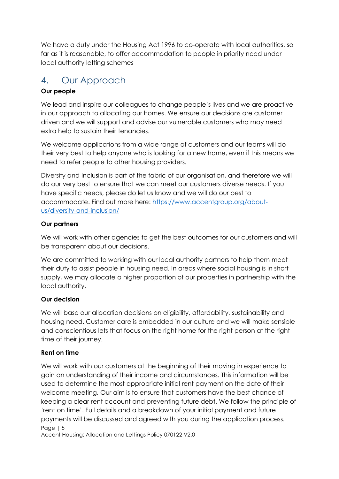We have a duty under the Housing Act 1996 to co-operate with local authorities, so far as it is reasonable, to offer accommodation to people in priority need under local authority letting schemes

## <span id="page-4-0"></span>4. Our Approach

#### **Our people**

We lead and inspire our colleagues to change people's lives and we are proactive in our approach to allocating our homes. We ensure our decisions are customer driven and we will support and advise our vulnerable customers who may need extra help to sustain their tenancies.

We welcome applications from a wide range of customers and our teams will do their very best to help anyone who is looking for a new home, even if this means we need to refer people to other housing providers.

Diversity and Inclusion is part of the fabric of our organisation, and therefore we will do our very best to ensure that we can meet our customers diverse needs. If you have specific needs, please do let us know and we will do our best to accommodate. Find out more here: [https://www.accentgroup.org/about](https://www.accentgroup.org/about-us/diversity-and-inclusion/)[us/diversity-and-inclusion/](https://www.accentgroup.org/about-us/diversity-and-inclusion/)

#### **Our partners**

We will work with other agencies to get the best outcomes for our customers and will be transparent about our decisions.

We are committed to working with our local authority partners to help them meet their duty to assist people in housing need. In areas where social housing is in short supply, we may allocate a higher proportion of our properties in partnership with the local authority.

#### **Our decision**

We will base our allocation decisions on eligibility, affordability, sustainability and housing need. Customer care is embedded in our culture and we will make sensible and conscientious lets that focus on the right home for the right person at the right time of their journey.

#### **Rent on time**

Page | 5 We will work with our customers at the beginning of their moving in experience to gain an understanding of their income and circumstances. This information will be used to determine the most appropriate initial rent payment on the date of their welcome meeting. Our aim is to ensure that customers have the best chance of keeping a clear rent account and preventing future debt. We follow the principle of 'rent on time'. Full details and a breakdown of your initial payment and future payments will be discussed and agreed with you during the application process.

Accent Housing: Allocation and Lettings Policy 070122 V2.0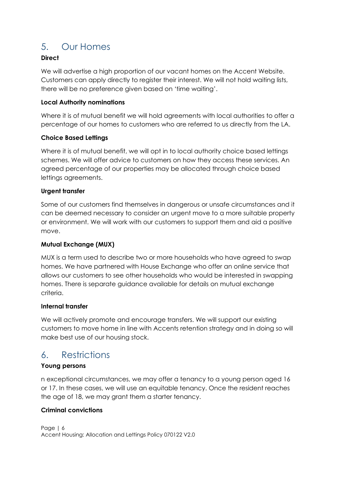## <span id="page-5-0"></span>5. Our Homes

#### **Direct**

We will advertise a high proportion of our vacant homes on the Accent Website. Customers can apply directly to register their interest. We will not hold waiting lists, there will be no preference given based on 'time waiting'.

#### **Local Authority nominations**

Where it is of mutual benefit we will hold agreements with local authorities to offer a percentage of our homes to customers who are referred to us directly from the LA.

#### **Choice Based Lettings**

Where it is of mutual benefit, we will opt in to local authority choice based lettings schemes. We will offer advice to customers on how they access these services. An agreed percentage of our properties may be allocated through choice based lettings agreements.

#### **Urgent transfer**

Some of our customers find themselves in dangerous or unsafe circumstances and it can be deemed necessary to consider an urgent move to a more suitable property or environment. We will work with our customers to support them and aid a positive move.

#### **Mutual Exchange (MUX)**

MUX is a term used to describe two or more households who have agreed to swap homes. We have partnered with House Exchange who offer an online service that allows our customers to see other households who would be interested in swapping homes. There is separate guidance available for details on mutual exchange criteria.

#### **Internal transfer**

We will actively promote and encourage transfers. We will support our existing customers to move home in line with Accents retention strategy and in doing so will make best use of our housing stock.

## <span id="page-5-1"></span>6. Restrictions

#### **Young persons**

n exceptional circumstances, we may offer a tenancy to a young person aged 16 or 17. In these cases, we will use an equitable tenancy. Once the resident reaches the age of 18, we may grant them a starter tenancy.

#### **Criminal convictions**

Page | 6 Accent Housing: Allocation and Lettings Policy 070122 V2.0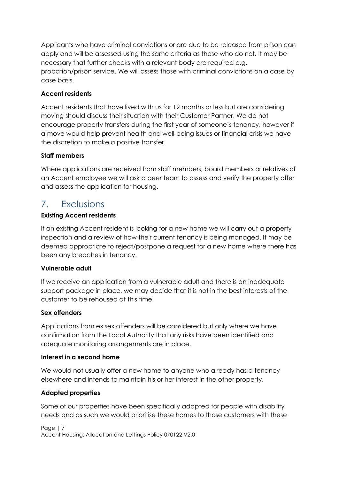Applicants who have criminal convictions or are due to be released from prison can apply and will be assessed using the same criteria as those who do not. It may be necessary that further checks with a relevant body are required e.g. probation/prison service. We will assess those with criminal convictions on a case by case basis.

#### **Accent residents**

Accent residents that have lived with us for 12 months or less but are considering moving should discuss their situation with their Customer Partner. We do not encourage property transfers during the first year of someone's tenancy, however if a move would help prevent health and well-being issues or financial crisis we have the discretion to make a positive transfer.

#### **Staff members**

Where applications are received from staff members, board members or relatives of an Accent employee we will ask a peer team to assess and verify the property offer and assess the application for housing.

### <span id="page-6-0"></span>7. Exclusions

#### **Existing Accent residents**

If an existing Accent resident is looking for a new home we will carry out a property inspection and a review of how their current tenancy is being managed. It may be deemed appropriate to reject/postpone a request for a new home where there has been any breaches in tenancy.

#### **Vulnerable adult**

If we receive an application from a vulnerable adult and there is an inadequate support package in place, we may decide that it is not in the best interests of the customer to be rehoused at this time.

#### **Sex offenders**

Applications from ex sex offenders will be considered but only where we have confirmation from the Local Authority that any risks have been identified and adequate monitoring arrangements are in place.

#### **Interest in a second home**

We would not usually offer a new home to anyone who already has a tenancy elsewhere and intends to maintain his or her interest in the other property.

#### **Adapted properties**

Some of our properties have been specifically adapted for people with disability needs and as such we would prioritise these homes to those customers with these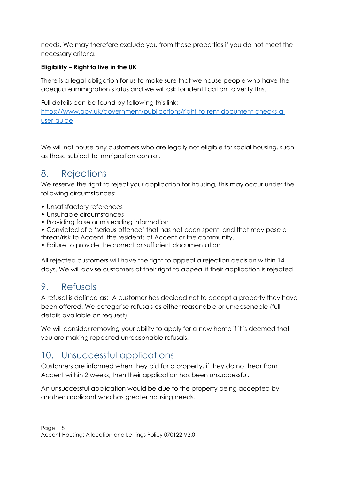needs. We may therefore exclude you from these properties if you do not meet the necessary criteria.

#### **Eligibility – Right to live in the UK**

There is a legal obligation for us to make sure that we house people who have the adequate immigration status and we will ask for identification to verify this.

Full details can be found by following this link: [https://www.gov.uk/government/publications/right-to-rent-document-checks-a](https://www.gov.uk/government/publications/right-to-rent-document-checks-a-user-guide)[user-guide](https://www.gov.uk/government/publications/right-to-rent-document-checks-a-user-guide)

We will not house any customers who are leaglly not eligible for social housing, such as those subject to immigration control.

## <span id="page-7-0"></span>8. Rejections

We reserve the right to reject your application for housing, this may occur under the following circumstances:

- Unsatisfactory references
- Unsuitable circumstances
- Providing false or misleading information
- Convicted of a 'serious offence' that has not been spent, and that may pose a threat/risk to Accent, the residents of Accent or the community.
- Failure to provide the correct or sufficient documentation

All rejected customers will have the right to appeal a rejection decision within 14 days. We will advise customers of their right to appeal if their application is rejected.

## <span id="page-7-1"></span>9. Refusals

A refusal is defined as: 'A customer has decided not to accept a property they have been offered. We categorise refusals as either reasonable or unreasonable (full details available on request).

We will consider removing your ability to apply for a new home if it is deemed that you are making repeated unreasonable refusals.

## <span id="page-7-2"></span>10. Unsuccessful applications

Customers are informed when they bid for a property, if they do not hear from Accent within 2 weeks, then their application has been unsuccessful.

An unsuccessful application would be due to the property being accepted by another applicant who has greater housing needs.